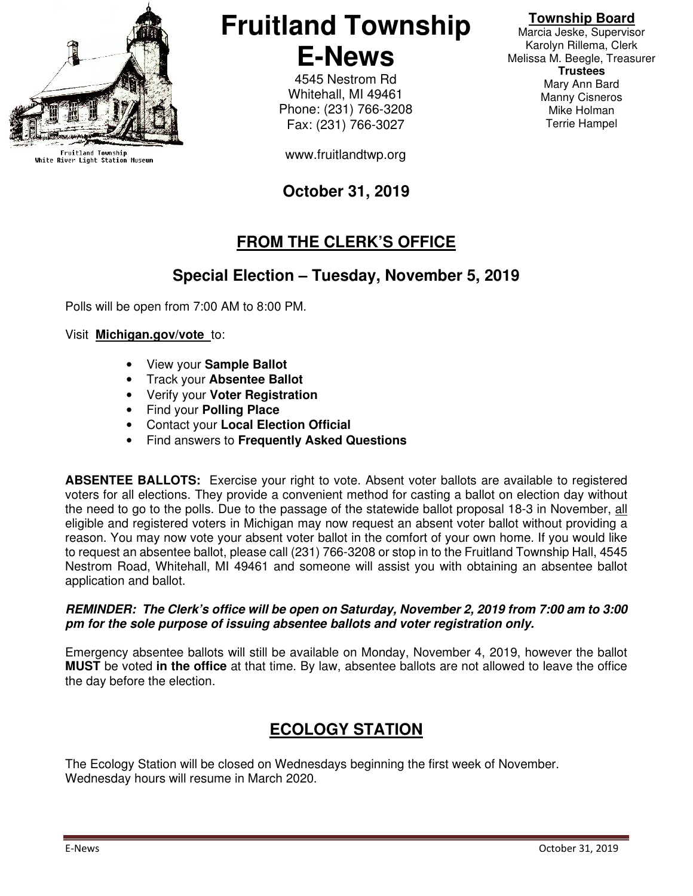

Fruitland Township<br>White River Light Station Museum

## **Fruitland Township E-News**

4545 Nestrom Rd Whitehall, MI 49461 Phone: (231) 766-3208 Fax: (231) 766-3027

www.fruitlandtwp.org

## **October 31, 2019**

## **FROM THE CLERK'S OFFICE**

#### **Special Election – Tuesday, November 5, 2019**

Polls will be open from 7:00 AM to 8:00 PM.

#### Visit **Michigan.gov/vote** to:

- View your **Sample Ballot**
- Track your **Absentee Ballot**
- Verify your **Voter Registration**
- Find your **Polling Place**
- Contact your **Local Election Official**
- Find answers to **Frequently Asked Questions**

**ABSENTEE BALLOTS:** Exercise your right to vote. Absent voter ballots are available to registered voters for all elections. They provide a convenient method for casting a ballot on election day without the need to go to the polls. Due to the passage of the statewide ballot proposal 18-3 in November, all eligible and registered voters in Michigan may now request an absent voter ballot without providing a reason. You may now vote your absent voter ballot in the comfort of your own home. If you would like to request an absentee ballot, please call (231) 766-3208 or stop in to the Fruitland Township Hall, 4545 Nestrom Road, Whitehall, MI 49461 and someone will assist you with obtaining an absentee ballot application and ballot.

#### **REMINDER: The Clerk's office will be open on Saturday, November 2, 2019 from 7:00 am to 3:00 pm for the sole purpose of issuing absentee ballots and voter registration only.**

Emergency absentee ballots will still be available on Monday, November 4, 2019, however the ballot **MUST** be voted **in the office** at that time. By law, absentee ballots are not allowed to leave the office the day before the election.

### **ECOLOGY STATION**

The Ecology Station will be closed on Wednesdays beginning the first week of November. Wednesday hours will resume in March 2020.

#### **Township Board**

Marcia Jeske, Supervisor Karolyn Rillema, Clerk Melissa M. Beegle, Treasurer **Trustees**  Mary Ann Bard Manny Cisneros Mike Holman Terrie Hampel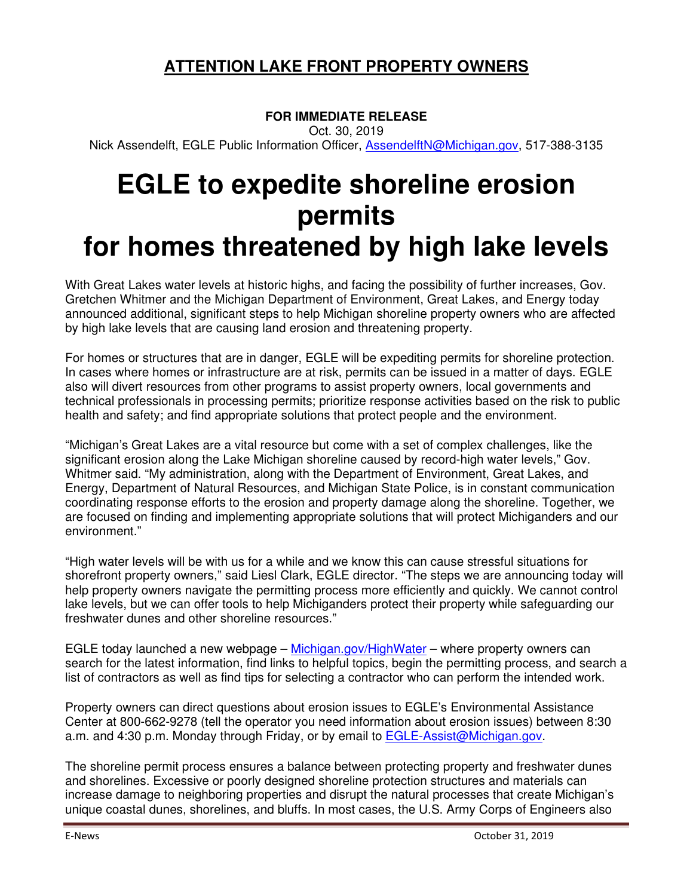### **ATTENTION LAKE FRONT PROPERTY OWNERS**

#### **FOR IMMEDIATE RELEASE**

Oct. 30, 2019

Nick Assendelft, EGLE Public Information Officer, **AssendelftN@Michigan.gov**, 517-388-3135

# **EGLE to expedite shoreline erosion permits for homes threatened by high lake levels**

With Great Lakes water levels at historic highs, and facing the possibility of further increases, Gov. Gretchen Whitmer and the Michigan Department of Environment, Great Lakes, and Energy today announced additional, significant steps to help Michigan shoreline property owners who are affected by high lake levels that are causing land erosion and threatening property.

For homes or structures that are in danger, EGLE will be expediting permits for shoreline protection. In cases where homes or infrastructure are at risk, permits can be issued in a matter of days. EGLE also will divert resources from other programs to assist property owners, local governments and technical professionals in processing permits; prioritize response activities based on the risk to public health and safety; and find appropriate solutions that protect people and the environment.

"Michigan's Great Lakes are a vital resource but come with a set of complex challenges, like the significant erosion along the Lake Michigan shoreline caused by record-high water levels," Gov. Whitmer said. "My administration, along with the Department of Environment, Great Lakes, and Energy, Department of Natural Resources, and Michigan State Police, is in constant communication coordinating response efforts to the erosion and property damage along the shoreline. Together, we are focused on finding and implementing appropriate solutions that will protect Michiganders and our environment."

"High water levels will be with us for a while and we know this can cause stressful situations for shorefront property owners," said Liesl Clark, EGLE director. "The steps we are announcing today will help property owners navigate the permitting process more efficiently and quickly. We cannot control lake levels, but we can offer tools to help Michiganders protect their property while safeguarding our freshwater dunes and other shoreline resources."

EGLE today launched a new webpage – Michigan.gov/HighWater – where property owners can search for the latest information, find links to helpful topics, begin the permitting process, and search a list of contractors as well as find tips for selecting a contractor who can perform the intended work.

Property owners can direct questions about erosion issues to EGLE's Environmental Assistance Center at 800-662-9278 (tell the operator you need information about erosion issues) between 8:30 a.m. and 4:30 p.m. Monday through Friday, or by email to EGLE-Assist@Michigan.gov.

The shoreline permit process ensures a balance between protecting property and freshwater dunes and shorelines. Excessive or poorly designed shoreline protection structures and materials can increase damage to neighboring properties and disrupt the natural processes that create Michigan's unique coastal dunes, shorelines, and bluffs. In most cases, the U.S. Army Corps of Engineers also